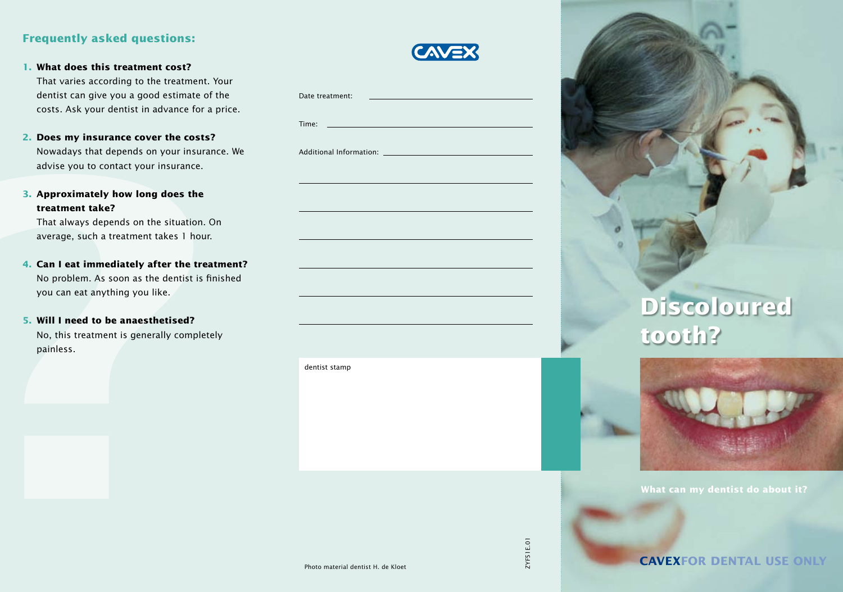## **Frequently asked questions:**

**1. What does this treatment cost?**

That varies according to the treatment. Your dentist can give you a good estimate of the costs. Ask your dentist in advance for a price.

- **2. Does my insurance cover the costs?** Nowadays that depends on your insurance. We advise you to contact your insurance.
- **3. Approximately how long does the treatment take?**

- **4. Can I eat immediately after the treatment?** No problem. As soon as the dentist is finished you can eat anything you like.
- **5. Will I need to be anaesthetised?**

|--|

| That varies according to the treatment. Your<br>dentist can give you a good estimate of the<br>costs. Ask your dentist in advance for a price.                                                                                                                                                                                                                                      | Date treatment:                                    |           |                                                            |
|-------------------------------------------------------------------------------------------------------------------------------------------------------------------------------------------------------------------------------------------------------------------------------------------------------------------------------------------------------------------------------------|----------------------------------------------------|-----------|------------------------------------------------------------|
| 2. Does my insurance cover the costs?<br>Nowadays that depends on your insurance. We<br>advise you to contact your insurance.                                                                                                                                                                                                                                                       | Time: $\qquad \qquad$<br>Additional Information: _ |           |                                                            |
| 3. Approximately how long does the<br>treatment take?<br>That always depends on the situation. On<br>average, such a treatment takes 1 hour.<br>4. Can I eat immediately after the treatment?<br>No problem. As soon as the dentist is finished<br>you can eat anything you like.<br>5. Will I need to be anaesthetised?<br>No, this treatment is generally completely<br>painless. |                                                    |           | <b>Discoloured</b><br>tooth?                               |
|                                                                                                                                                                                                                                                                                                                                                                                     | dentist stamp                                      |           |                                                            |
|                                                                                                                                                                                                                                                                                                                                                                                     | Photo material dentist H. de Kloet                 | ZYF51E.01 | What can my dentist do about<br><b>CAVEXFOR DENTAL USE</b> |